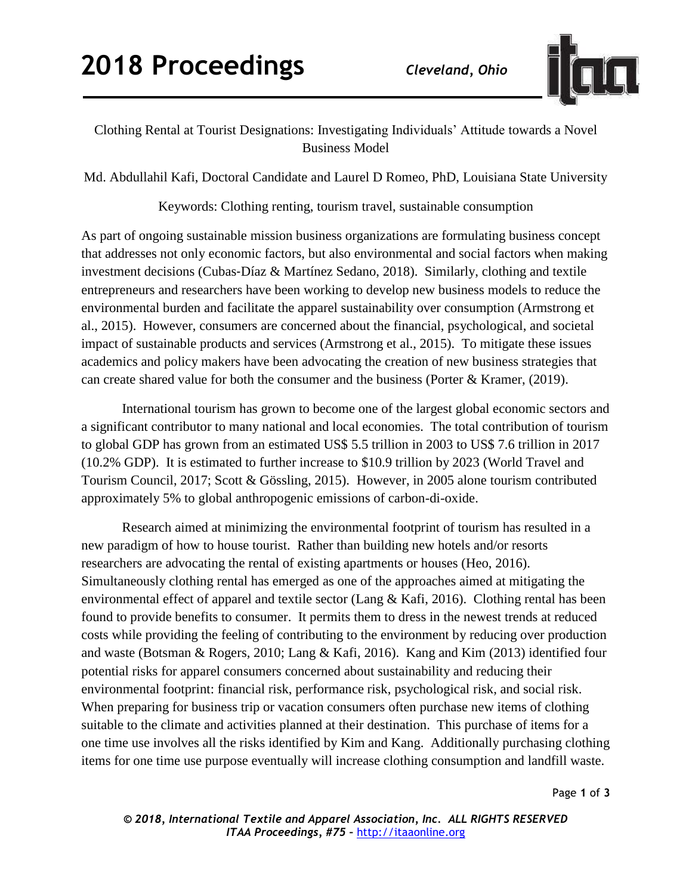

## Clothing Rental at Tourist Designations: Investigating Individuals' Attitude towards a Novel Business Model

Md. Abdullahil Kafi, Doctoral Candidate and Laurel D Romeo, PhD, Louisiana State University

Keywords: Clothing renting, tourism travel, sustainable consumption

As part of ongoing sustainable mission business organizations are formulating business concept that addresses not only economic factors, but also environmental and social factors when making investment decisions (Cubas‐Díaz & Martínez Sedano, 2018). Similarly, clothing and textile entrepreneurs and researchers have been working to develop new business models to reduce the environmental burden and facilitate the apparel sustainability over consumption (Armstrong et al., 2015). However, consumers are concerned about the financial, psychological, and societal impact of sustainable products and services (Armstrong et al., 2015). To mitigate these issues academics and policy makers have been advocating the creation of new business strategies that can create shared value for both the consumer and the business (Porter & Kramer, (2019).

International tourism has grown to become one of the largest global economic sectors and a significant contributor to many national and local economies. The total contribution of tourism to global GDP has grown from an estimated US\$ 5.5 trillion in 2003 to US\$ 7.6 trillion in 2017 (10.2% GDP). It is estimated to further increase to \$10.9 trillion by 2023 (World Travel and Tourism Council, 2017; Scott & Gössling, 2015). However, in 2005 alone tourism contributed approximately 5% to global anthropogenic emissions of carbon-di-oxide.

Research aimed at minimizing the environmental footprint of tourism has resulted in a new paradigm of how to house tourist. Rather than building new hotels and/or resorts researchers are advocating the rental of existing apartments or houses (Heo, 2016). Simultaneously clothing rental has emerged as one of the approaches aimed at mitigating the environmental effect of apparel and textile sector (Lang & Kafi, 2016). Clothing rental has been found to provide benefits to consumer. It permits them to dress in the newest trends at reduced costs while providing the feeling of contributing to the environment by reducing over production and waste (Botsman & Rogers, 2010; Lang & Kafi, 2016). Kang and Kim (2013) identified four potential risks for apparel consumers concerned about sustainability and reducing their environmental footprint: financial risk, performance risk, psychological risk, and social risk. When preparing for business trip or vacation consumers often purchase new items of clothing suitable to the climate and activities planned at their destination. This purchase of items for a one time use involves all the risks identified by Kim and Kang. Additionally purchasing clothing items for one time use purpose eventually will increase clothing consumption and landfill waste.

Page **1** of **3**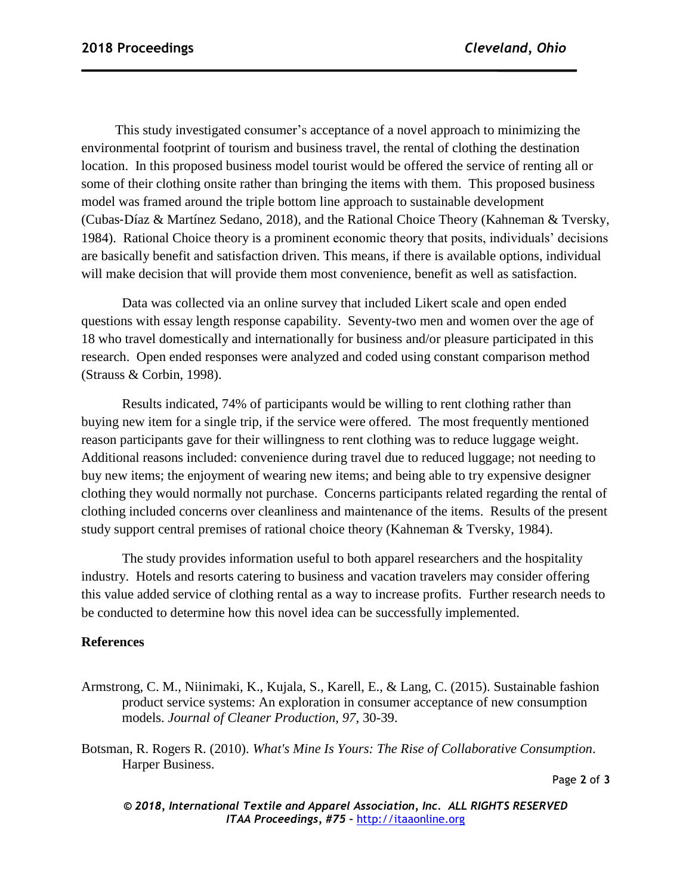This study investigated consumer's acceptance of a novel approach to minimizing the environmental footprint of tourism and business travel, the rental of clothing the destination location. In this proposed business model tourist would be offered the service of renting all or some of their clothing onsite rather than bringing the items with them. This proposed business model was framed around the triple bottom line approach to sustainable development (Cubas‐Díaz & Martínez Sedano, 2018), and the Rational Choice Theory (Kahneman & Tversky, 1984). Rational Choice theory is a prominent economic theory that posits, individuals' decisions are basically benefit and satisfaction driven. This means, if there is available options, individual will make decision that will provide them most convenience, benefit as well as satisfaction.

Data was collected via an online survey that included Likert scale and open ended questions with essay length response capability. Seventy-two men and women over the age of 18 who travel domestically and internationally for business and/or pleasure participated in this research. Open ended responses were analyzed and coded using constant comparison method (Strauss & Corbin, 1998).

Results indicated, 74% of participants would be willing to rent clothing rather than buying new item for a single trip, if the service were offered. The most frequently mentioned reason participants gave for their willingness to rent clothing was to reduce luggage weight. Additional reasons included: convenience during travel due to reduced luggage; not needing to buy new items; the enjoyment of wearing new items; and being able to try expensive designer clothing they would normally not purchase. Concerns participants related regarding the rental of clothing included concerns over cleanliness and maintenance of the items. Results of the present study support central premises of rational choice theory (Kahneman & Tversky, 1984).

The study provides information useful to both apparel researchers and the hospitality industry. Hotels and resorts catering to business and vacation travelers may consider offering this value added service of clothing rental as a way to increase profits. Further research needs to be conducted to determine how this novel idea can be successfully implemented.

## **References**

- Armstrong, C. M., Niinimaki, K., Kujala, S., Karell, E., & Lang, C. (2015). Sustainable fashion product service systems: An exploration in consumer acceptance of new consumption models. *Journal of Cleaner Production, 97*, 30-39.
- Botsman, R. Rogers R. (2010). *What's Mine Is Yours: The Rise of Collaborative Consumption*. Harper Business.

Page **2** of **3**

*<sup>© 2018,</sup> International Textile and Apparel Association, Inc. ALL RIGHTS RESERVED ITAA Proceedings, #75 –* [http://itaaonline.org](http://itaaonline.org/)